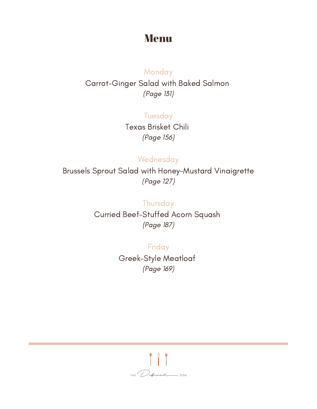## Menu

## **Monday** Carrot-Ginger Salad with Baked Salmon (Page 131)

**Tuesday** Texas Brisket Chili (Page 156)

## Wednesday

Brussels Sprout Salad with Honey-Mustard Vinaigrette (Page 127)

> **Thursday** Curried Beef-Stuffed Acorn Squash (Page 187)

> > Friday Greek-Style Meatloaf (Page 169)